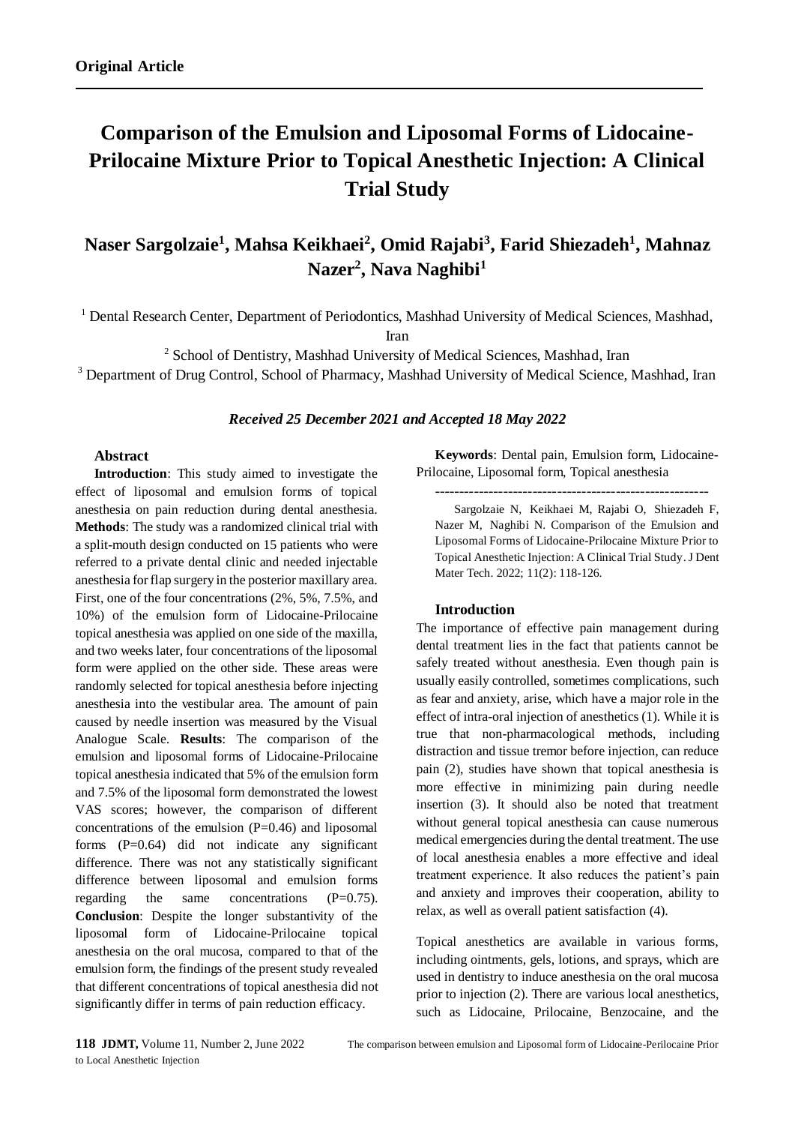# **Comparison of the Emulsion and Liposomal Forms of Lidocaine-Prilocaine Mixture Prior to Topical Anesthetic Injection: A Clinical Trial Study**

## **Naser Sargolzaie<sup>1</sup> , Mahsa Keikhaei<sup>2</sup> , Omid Rajabi<sup>3</sup> , Farid Shiezadeh<sup>1</sup> , Mahnaz Nazer<sup>2</sup> , Nava Naghibi<sup>1</sup>**

<sup>1</sup> Dental Research Center, Department of Periodontics, Mashhad University of Medical Sciences, Mashhad,

Iran

<sup>2</sup> School of Dentistry, Mashhad University of Medical Sciences, Mashhad, Iran

<sup>3</sup> Department of Drug Control, School of Pharmacy, Mashhad University of Medical Science, Mashhad, Iran

#### *Received 25 December 2021 and Accepted 18 May 2022*

#### **Abstract**

**Introduction**: This study aimed to investigate the effect of liposomal and emulsion forms of topical anesthesia on pain reduction during dental anesthesia. **Methods**: The study was a randomized clinical trial with a split-mouth design conducted on 15 patients who were referred to a private dental clinic and needed injectable anesthesia for flap surgery in the posterior maxillary area. First, one of the four concentrations (2%, 5%, 7.5%, and 10%) of the emulsion form of Lidocaine-Prilocaine topical anesthesia was applied on one side of the maxilla, and two weeks later, four concentrations of the liposomal form were applied on the other side. These areas were randomly selected for topical anesthesia before injecting anesthesia into the vestibular area. The amount of pain caused by needle insertion was measured by the Visual Analogue Scale. **Results**: The comparison of the emulsion and liposomal forms of Lidocaine-Prilocaine topical anesthesia indicated that 5% of the emulsion form and 7.5% of the liposomal form demonstrated the lowest VAS scores; however, the comparison of different concentrations of the emulsion  $(P=0.46)$  and liposomal forms (P=0.64) did not indicate any significant difference. There was not any statistically significant difference between liposomal and emulsion forms regarding the same concentrations (P=0.75). **Conclusion**: Despite the longer substantivity of the liposomal form of Lidocaine-Prilocaine topical anesthesia on the oral mucosa, compared to that of the emulsion form, the findings of the present study revealed that different concentrations of topical anesthesia did not significantly differ in terms of pain reduction efficacy.

**Keywords**: Dental pain, Emulsion form, Lidocaine-Prilocaine, Liposomal form, Topical anesthesia --------------------------------------------------------

Sargolzaie N, Keikhaei M, Rajabi O, Shiezadeh F, Nazer M, Naghibi N. Comparison of the Emulsion and Liposomal Forms of Lidocaine-Prilocaine Mixture Prior to Topical Anesthetic Injection: A Clinical Trial Study. J Dent Mater Tech. 2022; 11(2): 118-126.

#### **Introduction**

The importance of effective pain management during dental treatment lies in the fact that patients cannot be safely treated without anesthesia. Even though pain is usually easily controlled, sometimes complications, such as fear and anxiety, arise, which have a major role in the effect of intra-oral injection of anesthetics (1). While it is true that non-pharmacological methods, including distraction and tissue tremor before injection, can reduce pain (2), studies have shown that topical anesthesia is more effective in minimizing pain during needle insertion (3). It should also be noted that treatment without general topical anesthesia can cause numerous medical emergencies during the dental treatment. The use of local anesthesia enables a more effective and ideal treatment experience. It also reduces the patient's pain and anxiety and improves their cooperation, ability to relax, as well as overall patient satisfaction (4).

Topical anesthetics are available in various forms, including ointments, gels, lotions, and sprays, which are used in dentistry to induce anesthesia on the oral mucosa prior to injection (2). There are various local anesthetics, such as Lidocaine, Prilocaine, Benzocaine, and the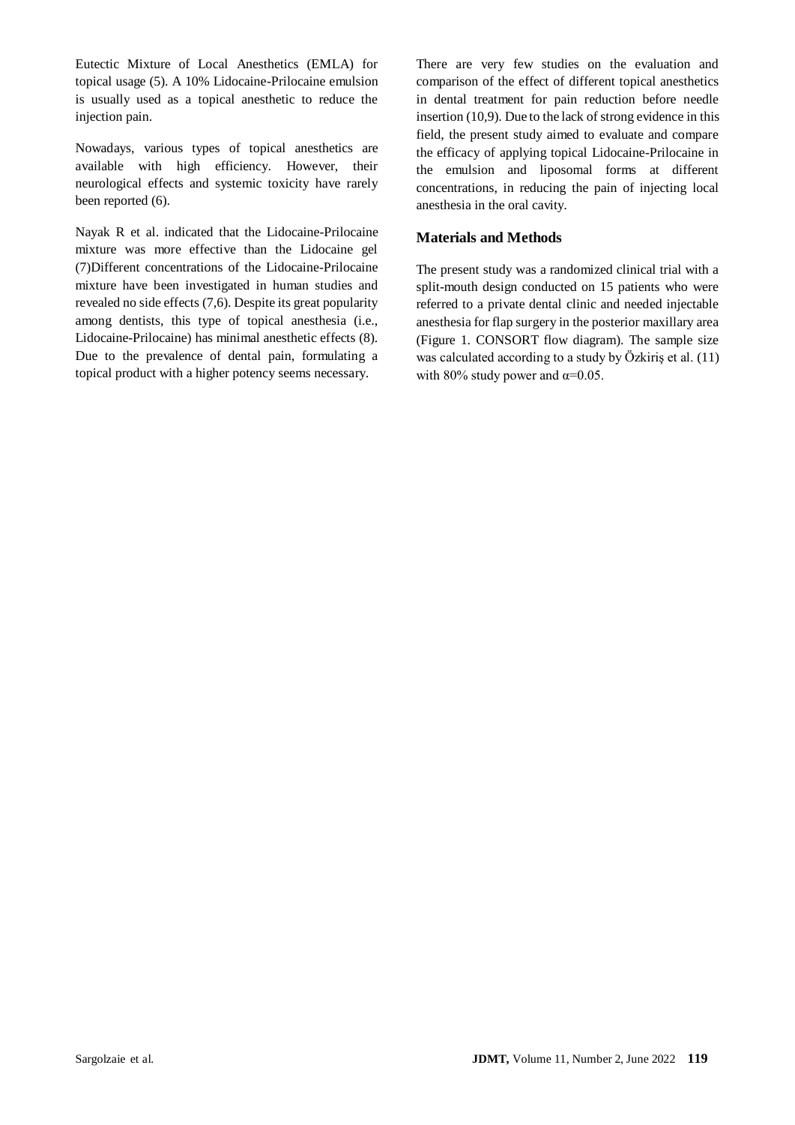Eutectic Mixture of Local Anesthetics (EMLA) for topical usage (5). A 10% Lidocaine-Prilocaine emulsion is usually used as a topical anesthetic to reduce the injection pain.

Nowadays, various types of topical anesthetics are available with high efficiency. However, their neurological effects and systemic toxicity have rarely been reported (6).

Nayak R et al. indicated that the Lidocaine-Prilocaine mixture was more effective than the Lidocaine gel (7)Different concentrations of the Lidocaine-Prilocaine mixture have been investigated in human studies and revealed no side effects (7,6). Despite its great popularity among dentists, this type of topical anesthesia (i.e., Lidocaine-Prilocaine) has minimal anesthetic effects (8). Due to the prevalence of dental pain, formulating a topical product with a higher potency seems necessary.

There are very few studies on the evaluation and comparison of the effect of different topical anesthetics in dental treatment for pain reduction before needle insertion (10,9). Due to the lack of strong evidence in this field, the present study aimed to evaluate and compare the efficacy of applying topical Lidocaine-Prilocaine in the emulsion and liposomal forms at different concentrations, in reducing the pain of injecting local anesthesia in the oral cavity.

## **Materials and Methods**

The present study was a randomized clinical trial with a split-mouth design conducted on 15 patients who were referred to a private dental clinic and needed injectable anesthesia for flap surgery in the posterior maxillary area (Figure 1. CONSORT flow diagram). The sample size was calculated according to a study by Özkiriş et al. (11) with 80% study power and  $\alpha$ =0.05.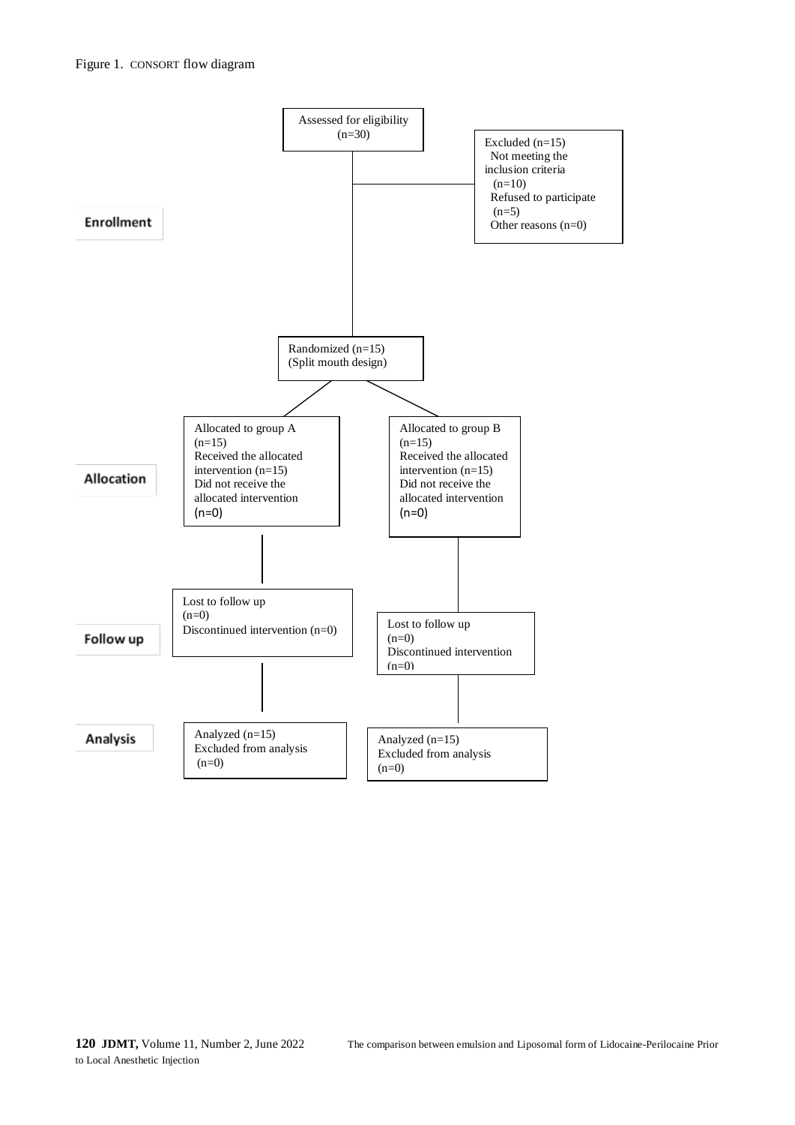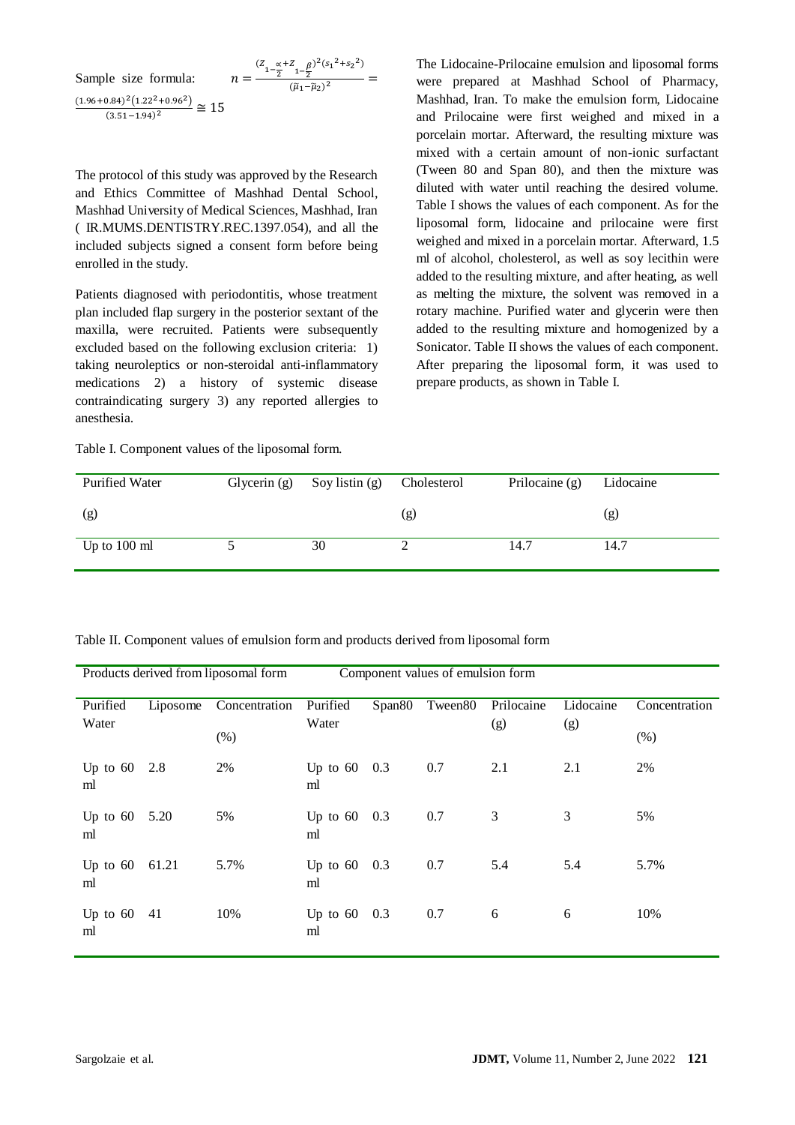Sample size formula: 
$$
n = \frac{(z_{1-\frac{\alpha}{2}} + z_{1-\frac{\beta}{2}})^2 (s_1^2 + s_2^2)}{(\bar{\mu}_1 - \bar{\mu}_2)^2} = \frac{(1.96 + 0.84)^2 (1.22^2 + 0.96^2)}{(3.51 - 1.94)^2} \approx 15
$$

The protocol of this study was approved by the Research and Ethics Committee of Mashhad Dental School, Mashhad University of Medical Sciences, Mashhad, Iran ( IR.MUMS.DENTISTRY.REC.1397.054), and all the included subjects signed a consent form before being enrolled in the study.

Patients diagnosed with periodontitis, whose treatment plan included flap surgery in the posterior sextant of the maxilla, were recruited. Patients were subsequently excluded based on the following exclusion criteria: 1) taking neuroleptics or non-steroidal anti-inflammatory medications 2) a history of systemic disease contraindicating surgery 3) any reported allergies to anesthesia.

Table I. Component values of the liposomal form.

The Lidocaine-Prilocaine emulsion and liposomal forms were prepared at Mashhad School of Pharmacy, Mashhad, Iran. To make the emulsion form, Lidocaine and Prilocaine were first weighed and mixed in a porcelain mortar. Afterward, the resulting mixture was mixed with a certain amount of non-ionic surfactant (Tween 80 and Span 80), and then the mixture was diluted with water until reaching the desired volume. Table I shows the values of each component. As for the liposomal form, lidocaine and prilocaine were first weighed and mixed in a porcelain mortar. Afterward, 1.5 ml of alcohol, cholesterol, as well as soy lecithin were added to the resulting mixture, and after heating, as well as melting the mixture, the solvent was removed in a rotary machine. Purified water and glycerin were then added to the resulting mixture and homogenized by a Sonicator. Table II shows the values of each component. After preparing the liposomal form, it was used to prepare products, as shown in Table I.

| <b>Purified Water</b>  | Glycerin (g) Soy listin (g) | Cholesterol | Prilocaine (g) | Lidocaine |
|------------------------|-----------------------------|-------------|----------------|-----------|
| (g)                    |                             | (g)         |                | (g)       |
| Up to $100 \text{ ml}$ | 30                          |             | 14.7           | 14.7      |

|  |  |  | Table II. Component values of emulsion form and products derived from liposomal form |  |
|--|--|--|--------------------------------------------------------------------------------------|--|
|  |  |  |                                                                                      |  |

| Products derived from liposomal form |          |               | Component values of emulsion form |                    |         |            |           |               |
|--------------------------------------|----------|---------------|-----------------------------------|--------------------|---------|------------|-----------|---------------|
| Purified                             | Liposome | Concentration | Purified                          | Span <sub>80</sub> | Tween80 | Prilocaine | Lidocaine | Concentration |
| Water                                |          | (% )          | Water                             |                    |         | (g)        | (g)       | (% )          |
| Up to $60$<br>ml                     | 2.8      | 2%            | Up to $60$<br>ml                  | 0.3                | 0.7     | 2.1        | 2.1       | 2%            |
| Up to $60$<br>ml                     | 5.20     | 5%            | Up to $60$<br>ml                  | 0.3                | 0.7     | 3          | 3         | 5%            |
| Up to $60$<br>ml                     | 61.21    | 5.7%          | Up to $60$<br>ml                  | 0.3                | 0.7     | 5.4        | 5.4       | 5.7%          |
| Up to $60$<br>ml                     | 41       | 10%           | Up to $60$<br>ml                  | 0.3                | 0.7     | 6          | 6         | 10%           |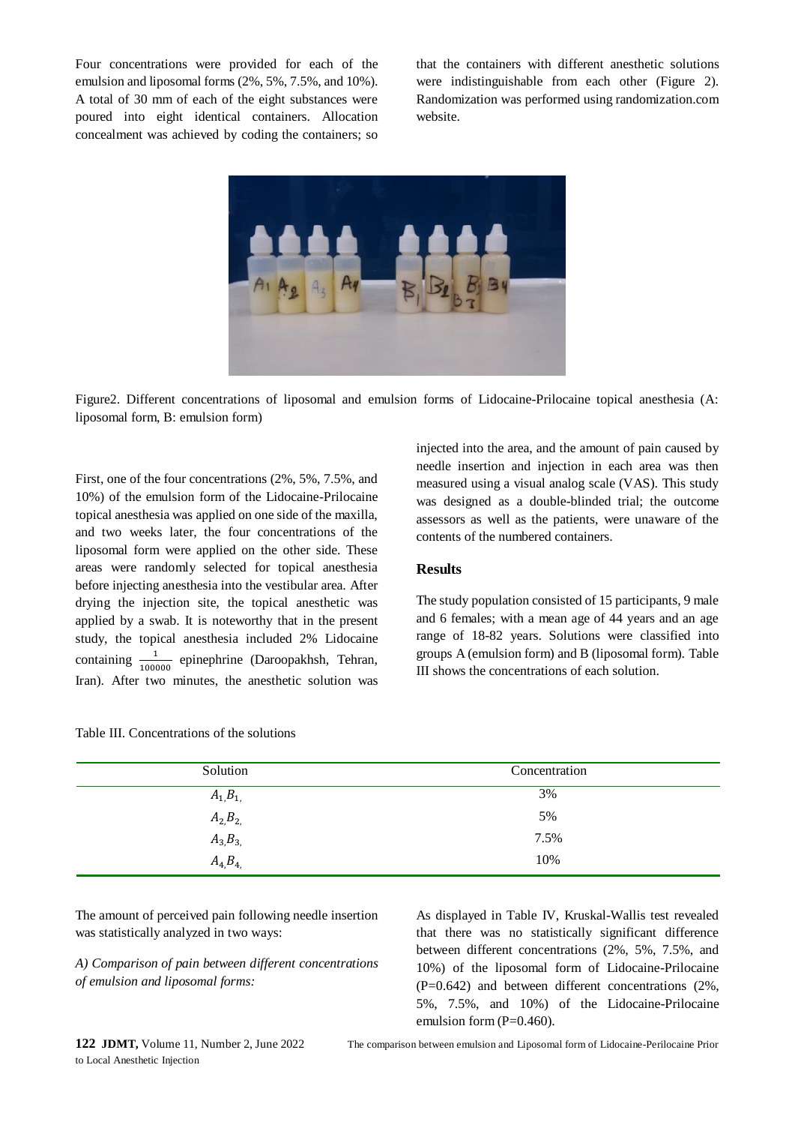Four concentrations were provided for each of the emulsion and liposomal forms (2%, 5%, 7.5%, and 10%). A total of 30 mm of each of the eight substances were poured into eight identical containers. Allocation concealment was achieved by coding the containers; so that the containers with different anesthetic solutions were indistinguishable from each other (Figure 2). Randomization was performed using randomization.com website.



Figure2. Different concentrations of liposomal and emulsion forms of Lidocaine-Prilocaine topical anesthesia (A: liposomal form, B: emulsion form)

First, one of the four concentrations (2%, 5%, 7.5%, and 10%) of the emulsion form of the Lidocaine-Prilocaine topical anesthesia was applied on one side of the maxilla, and two weeks later, the four concentrations of the liposomal form were applied on the other side. These areas were randomly selected for topical anesthesia before injecting anesthesia into the vestibular area. After drying the injection site, the topical anesthetic was applied by a swab. It is noteworthy that in the present study, the topical anesthesia included 2% Lidocaine containing  $\frac{1}{100000}$  epinephrine (Daroopakhsh, Tehran, Iran). After two minutes, the anesthetic solution was

| Table III. Concentrations of the solutions |  |  |
|--------------------------------------------|--|--|
|--------------------------------------------|--|--|

injected into the area, and the amount of pain caused by needle insertion and injection in each area was then measured using a visual analog scale (VAS). This study was designed as a double-blinded trial; the outcome assessors as well as the patients, were unaware of the contents of the numbered containers.

#### **Results**

The study population consisted of 15 participants, 9 male and 6 females; with a mean age of 44 years and an age range of 18-82 years. Solutions were classified into groups A (emulsion form) and B (liposomal form). Table III shows the concentrations of each solution.

| Solution       | Concentration |
|----------------|---------------|
| $A_{1,}B_{1,}$ | 3%            |
| $A_{2}B_{2}$   | 5%            |
| $A_3, B_3,$    | 7.5%          |
| $A_4 B_4$      | 10%           |

The amount of perceived pain following needle insertion was statistically analyzed in two ways:

*A) Comparison of pain between different concentrations of emulsion and liposomal forms:*

As displayed in Table IV, Kruskal-Wallis test revealed that there was no statistically significant difference between different concentrations (2%, 5%, 7.5%, and 10%) of the liposomal form of Lidocaine-Prilocaine (P=0.642) and between different concentrations (2%, 5%, 7.5%, and 10%) of the Lidocaine-Prilocaine emulsion form  $(P=0.460)$ .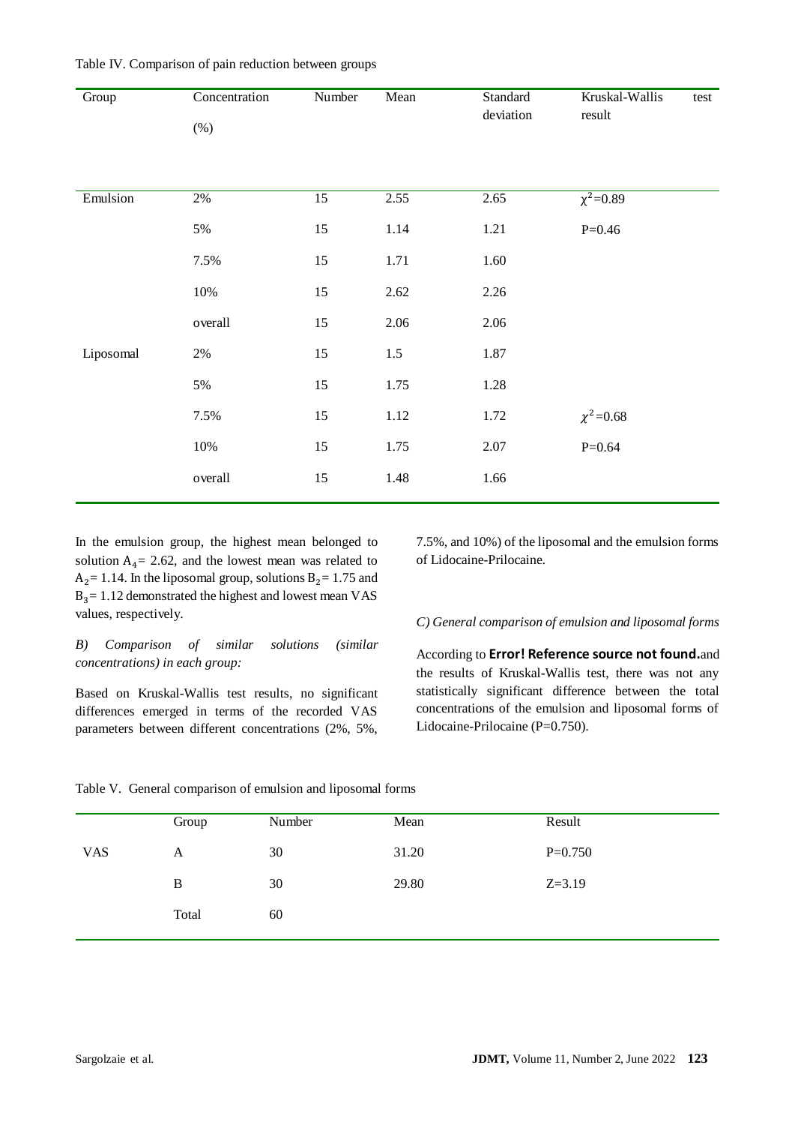| Group     | Concentration<br>$(\%)$ | Number          | Mean     | Standard<br>deviation | Kruskal-Wallis<br>test<br>result |
|-----------|-------------------------|-----------------|----------|-----------------------|----------------------------------|
| Emulsion  | $2\%$                   | $\overline{15}$ | 2.55     | 2.65                  | $\chi^2 = 0.89$                  |
|           | 5%                      | 15              | 1.14     | 1.21                  | $P=0.46$                         |
|           | 7.5%                    | 15              | 1.71     | 1.60                  |                                  |
|           | 10%                     | 15              | 2.62     | 2.26                  |                                  |
|           | overall                 | 15              | 2.06     | 2.06                  |                                  |
| Liposomal | $2\%$                   | 15              | 1.5      | 1.87                  |                                  |
|           | 5%                      | 15              | 1.75     | 1.28                  |                                  |
|           | 7.5%                    | 15              | $1.12\,$ | 1.72                  | $\chi^2$ =0.68                   |
|           | 10%                     | 15              | 1.75     | 2.07                  | $P=0.64$                         |
|           | overall                 | 15              | 1.48     | 1.66                  |                                  |

Table IV. Comparison of pain reduction between groups

In the emulsion group, the highest mean belonged to solution  $A_4$  = 2.62, and the lowest mean was related to  $A_2$ = 1.14. In the liposomal group, solutions  $B_2$ = 1.75 and  $B_3 = 1.12$  demonstrated the highest and lowest mean VAS values, respectively.

## *B) Comparison of similar solutions (similar concentrations) in each group:*

Based on Kruskal-Wallis test results, no significant differences emerged in terms of the recorded VAS parameters between different concentrations (2%, 5%, 7.5%, and 10%) of the liposomal and the emulsion forms of Lidocaine-Prilocaine.

#### *C) General comparison of emulsion and liposomal forms*

According to **Error! Reference source not found.**and the results of Kruskal-Wallis test, there was not any statistically significant difference between the total concentrations of the emulsion and liposomal forms of Lidocaine-Prilocaine (P=0.750).

|            | Group | Number | Mean  | Result     |
|------------|-------|--------|-------|------------|
| <b>VAS</b> | A     | 30     | 31.20 | $P=0.750$  |
|            | B     | 30     | 29.80 | $Z = 3.19$ |
|            | Total | 60     |       |            |
|            |       |        |       |            |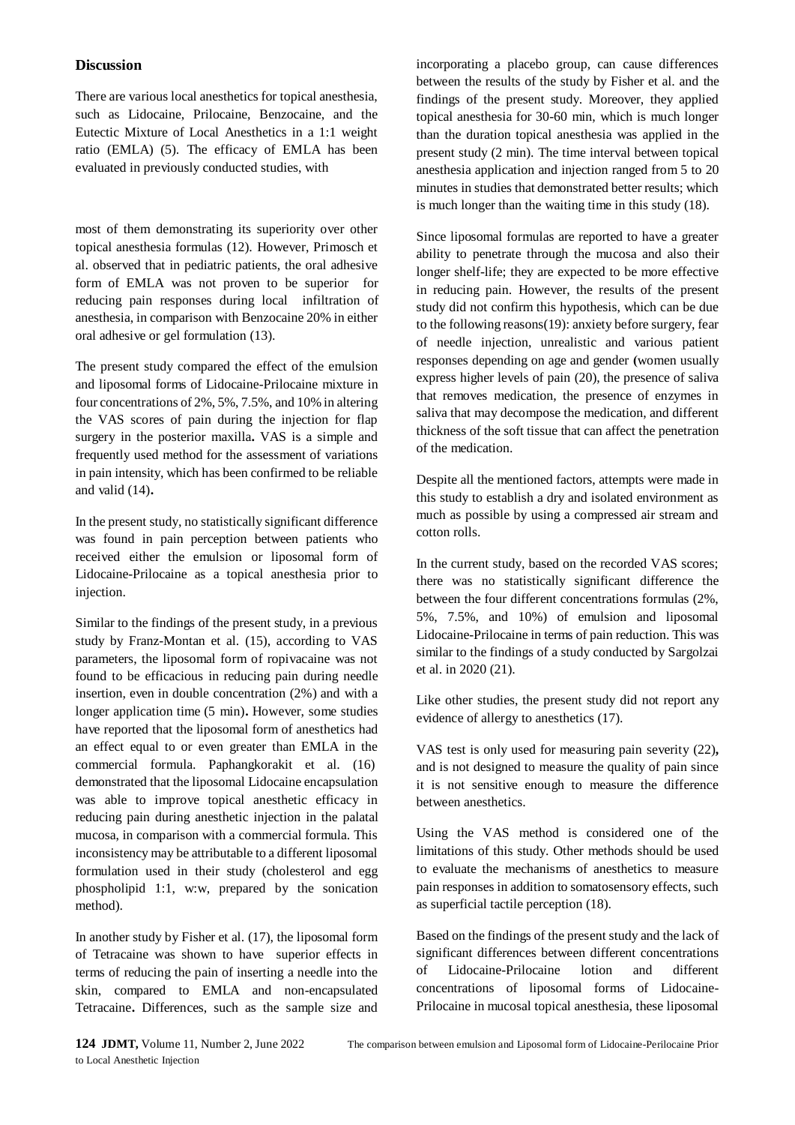### **Discussion**

There are various local anesthetics for topical anesthesia, such as Lidocaine, Prilocaine, Benzocaine, and the Eutectic Mixture of Local Anesthetics in a 1:1 weight ratio (EMLA) (5). The efficacy of EMLA has been evaluated in previously conducted studies, with

most of them demonstrating its superiority over other topical anesthesia formulas (12). However, Primosch et al. observed that in pediatric patients, the oral adhesive form of EMLA was not proven to be superior for reducing pain responses during local infiltration of anesthesia, in comparison with Benzocaine 20% in either oral adhesive or gel formulation (13).

The present study compared the effect of the emulsion and liposomal forms of Lidocaine-Prilocaine mixture in four concentrations of 2%, 5%, 7.5%, and 10% in altering the VAS scores of pain during the injection for flap surgery in the posterior maxilla**.** VAS is a simple and frequently used method for the assessment of variations in pain intensity, which has been confirmed to be reliable and valid (14)**.**

In the present study, no statistically significant difference was found in pain perception between patients who received either the emulsion or liposomal form of Lidocaine-Prilocaine as a topical anesthesia prior to injection.

Similar to the findings of the present study, in a previous study by Franz-Montan et al. (15), according to VAS parameters, the liposomal form of ropivacaine was not found to be efficacious in reducing pain during needle insertion, even in double concentration (2%) and with a longer application time (5 min)**.** However, some studies have reported that the liposomal form of anesthetics had an effect equal to or even greater than EMLA in the commercial formula. Paphangkorakit et al. (16) demonstrated that the liposomal Lidocaine encapsulation was able to improve topical anesthetic efficacy in reducing pain during anesthetic injection in the palatal mucosa, in comparison with a commercial formula. This inconsistency may be attributable to a different liposomal formulation used in their study (cholesterol and egg phospholipid 1:1, w:w, prepared by the sonication method).

In another study by Fisher et al. (17), the liposomal form of Tetracaine was shown to have superior effects in terms of reducing the pain of inserting a needle into the skin, compared to EMLA and non-encapsulated Tetracaine**.** Differences, such as the sample size and incorporating a placebo group, can cause differences between the results of the study by Fisher et al. and the findings of the present study. Moreover, they applied topical anesthesia for 30-60 min, which is much longer than the duration topical anesthesia was applied in the present study (2 min). The time interval between topical anesthesia application and injection ranged from 5 to 20 minutes in studies that demonstrated better results; which is much longer than the waiting time in this study (18).

Since liposomal formulas are reported to have a greater ability to penetrate through the mucosa and also their longer shelf-life; they are expected to be more effective in reducing pain. However, the results of the present study did not confirm this hypothesis, which can be due to the following reasons(19): anxiety before surgery, fear of needle injection, unrealistic and various patient responses depending on age and gender **(women usually** express higher levels of pain (20), the presence of saliva that removes medication, the presence of enzymes in saliva that may decompose the medication, and different thickness of the soft tissue that can affect the penetration of the medication.

Despite all the mentioned factors, attempts were made in this study to establish a dry and isolated environment as much as possible by using a compressed air stream and cotton rolls.

In the current study, based on the recorded VAS scores; there was no statistically significant difference the between the four different concentrations formulas (2%, 5%, 7.5%, and 10%) of emulsion and liposomal Lidocaine-Prilocaine in terms of pain reduction. This was similar to the findings of a study conducted by Sargolzai et al. in 2020 (21).

Like other studies, the present study did not report any evidence of allergy to anesthetics (17).

VAS test is only used for measuring pain severity (22)**,** and is not designed to measure the quality of pain since it is not sensitive enough to measure the difference between anesthetics.

Using the VAS method is considered one of the limitations of this study. Other methods should be used to evaluate the mechanisms of anesthetics to measure pain responses in addition to somatosensory effects, such as superficial tactile perception (18).

Based on the findings of the present study and the lack of significant differences between different concentrations of Lidocaine-Prilocaine lotion and different concentrations of liposomal forms of Lidocaine-Prilocaine in mucosal topical anesthesia, these liposomal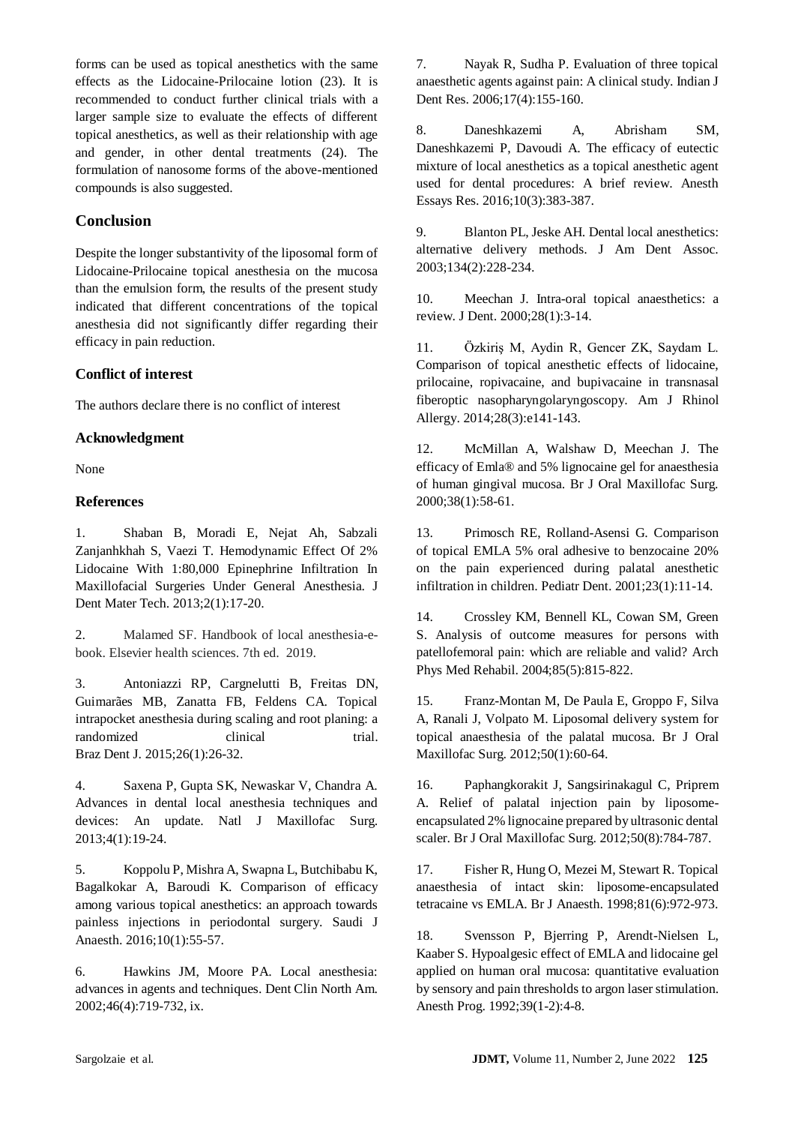forms can be used as topical anesthetics with the same effects as the Lidocaine-Prilocaine lotion (23). It is recommended to conduct further clinical trials with a larger sample size to evaluate the effects of different topical anesthetics, as well as their relationship with age and gender, in other dental treatments (24). The formulation of nanosome forms of the above-mentioned compounds is also suggested.

## **Conclusion**

Despite the longer substantivity of the liposomal form of Lidocaine-Prilocaine topical anesthesia on the mucosa than the emulsion form, the results of the present study indicated that different concentrations of the topical anesthesia did not significantly differ regarding their efficacy in pain reduction.

## **Conflict of interest**

The authors declare there is no conflict of interest

## **Acknowledgment**

None

## **References**

1. Shaban B, Moradi E, Nejat Ah, Sabzali Zanjanhkhah S, Vaezi T. Hemodynamic Effect Of 2% Lidocaine With 1:80,000 Epinephrine Infiltration In Maxillofacial Surgeries Under General Anesthesia. J Dent Mater Tech. 2013;2(1):17-20.

2. Malamed SF. Handbook of local anesthesia-ebook. Elsevier health sciences. 7th ed. 2019.

3. Antoniazzi RP, Cargnelutti B, Freitas DN, Guimarães MB, Zanatta FB, Feldens CA. Topical intrapocket anesthesia during scaling and root planing: a randomized clinical trial. Braz Dent J. 2015;26(1):26-32.

4. Saxena P, Gupta SK, Newaskar V, Chandra A. Advances in dental local anesthesia techniques and devices: An update. Natl J Maxillofac Surg. 2013;4(1):19-24.

5. Koppolu P, Mishra A, Swapna L, Butchibabu K, Bagalkokar A, Baroudi K. Comparison of efficacy among various topical anesthetics: an approach towards painless injections in periodontal surgery. Saudi J Anaesth. 2016;10(1):55-57.

6. Hawkins JM, Moore PA. Local anesthesia: advances in agents and techniques. Dent Clin North Am. 2002;46(4):719-732, ix.

7. Nayak R, Sudha P. Evaluation of three topical anaesthetic agents against pain: A clinical study. Indian J Dent Res. 2006;17(4):155-160.

8. Daneshkazemi A, Abrisham SM, Daneshkazemi P, Davoudi A. The efficacy of eutectic mixture of local anesthetics as a topical anesthetic agent used for dental procedures: A brief review. Anesth Essays Res. 2016;10(3):383-387.

9. Blanton PL, Jeske AH. Dental local anesthetics: alternative delivery methods. J Am Dent Assoc. 2003;134(2):228-234.

10. Meechan J. Intra-oral topical anaesthetics: a review. J Dent. 2000;28(1):3-14.

11. Özkiriş M, Aydin R, Gencer ZK, Saydam L. Comparison of topical anesthetic effects of lidocaine, prilocaine, ropivacaine, and bupivacaine in transnasal fiberoptic nasopharyngolaryngoscopy. Am J Rhinol Allergy. 2014;28(3):e141-143.

12. McMillan A, Walshaw D, Meechan J. The efficacy of Emla® and 5% lignocaine gel for anaesthesia of human gingival mucosa. Br J Oral Maxillofac Surg. 2000;38(1):58-61.

13. Primosch RE, Rolland-Asensi G. Comparison of topical EMLA 5% oral adhesive to benzocaine 20% on the pain experienced during palatal anesthetic infiltration in children. Pediatr Dent. 2001;23(1):11-14.

14. Crossley KM, Bennell KL, Cowan SM, Green S. Analysis of outcome measures for persons with patellofemoral pain: which are reliable and valid? Arch Phys Med Rehabil. 2004;85(5):815-822.

15. Franz-Montan M, De Paula E, Groppo F, Silva A, Ranali J, Volpato M. Liposomal delivery system for topical anaesthesia of the palatal mucosa. Br J Oral Maxillofac Surg. 2012;50(1):60-64.

16. Paphangkorakit J, Sangsirinakagul C, Priprem A. Relief of palatal injection pain by liposomeencapsulated 2% lignocaine prepared by ultrasonic dental scaler. Br J Oral Maxillofac Surg. 2012;50(8):784-787.

17. Fisher R, Hung O, Mezei M, Stewart R. Topical anaesthesia of intact skin: liposome-encapsulated tetracaine vs EMLA. Br J Anaesth. 1998;81(6):972-973.

18. Svensson P, Bjerring P, Arendt-Nielsen L, Kaaber S. Hypoalgesic effect of EMLA and lidocaine gel applied on human oral mucosa: quantitative evaluation by sensory and pain thresholds to argon laser stimulation. Anesth Prog. 1992;39(1-2):4-8.